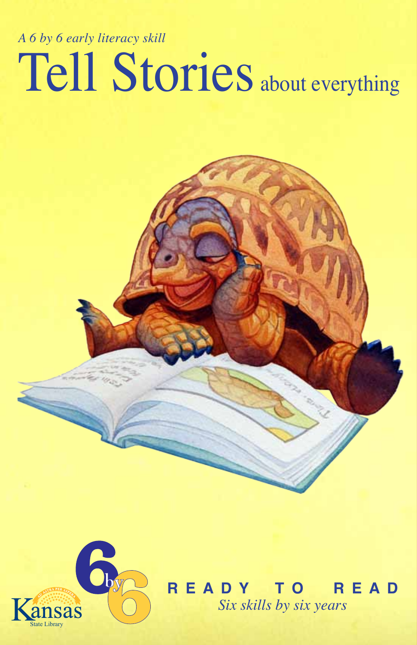## Tell Stories about everything *A 6 by 6 early literacy skill*



**R E A D Y T O R E A D** *Six skills by six years*